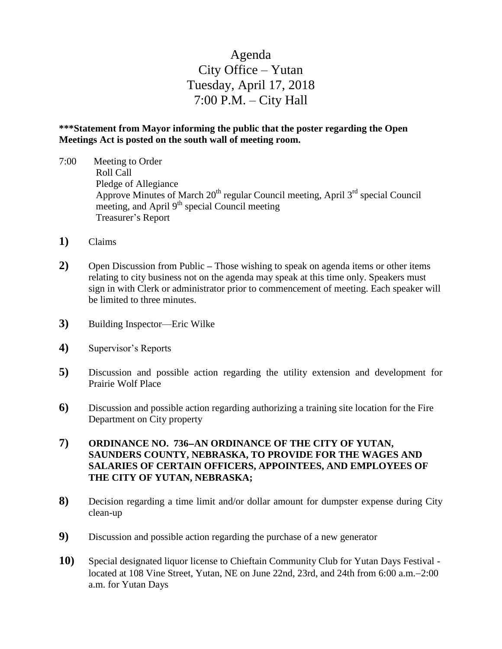## Agenda City Office – Yutan Tuesday, April 17, 2018 7:00 P.M. – City Hall

## **\*\*\*Statement from Mayor informing the public that the poster regarding the Open Meetings Act is posted on the south wall of meeting room.**

- 7:00 Meeting to Order Roll Call Pledge of Allegiance Approve Minutes of March  $20<sup>th</sup>$  regular Council meeting, April  $3<sup>rd</sup>$  special Council meeting, and April  $9<sup>th</sup>$  special Council meeting Treasurer's Report
- **1)** Claims
- **2)** Open Discussion from Public **–** Those wishing to speak on agenda items or other items relating to city business not on the agenda may speak at this time only. Speakers must sign in with Clerk or administrator prior to commencement of meeting. Each speaker will be limited to three minutes.
- **3)** Building Inspector—Eric Wilke
- **4)** Supervisor's Reports
- **5)** Discussion and possible action regarding the utility extension and development for Prairie Wolf Place
- **6)** Discussion and possible action regarding authorizing a training site location for the Fire Department on City property
- **7) ORDINANCE NO. 736AN ORDINANCE OF THE CITY OF YUTAN, SAUNDERS COUNTY, NEBRASKA, TO PROVIDE FOR THE WAGES AND SALARIES OF CERTAIN OFFICERS, APPOINTEES, AND EMPLOYEES OF THE CITY OF YUTAN, NEBRASKA;**
- **8)** Decision regarding a time limit and/or dollar amount for dumpster expense during City clean-up
- **9)** Discussion and possible action regarding the purchase of a new generator
- **10)** Special designated liquor license to Chieftain Community Club for Yutan Days Festival located at  $108$  Vine Street, Yutan, NE on June 22nd, 23rd, and 24th from  $6:00$  a.m. $-2:00$ a.m. for Yutan Days